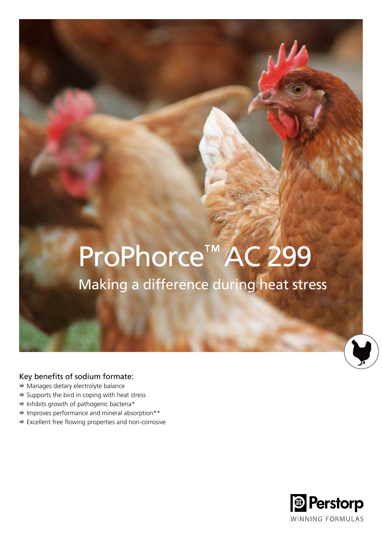# ProPhorce™ AC 299

### Making a difference during heat stress

### Key benefits of sodium formate:

- $\rightarrow$  Manages dietary electrolyte balance
- $\Rightarrow$  Supports the bird in coping with heat stress
- $\Rightarrow$  Inhibits growth of pathogenic bacteria\*
- Improves performance and mineral absorption\*\*
- Excellent free flowing properties and non-corrosive

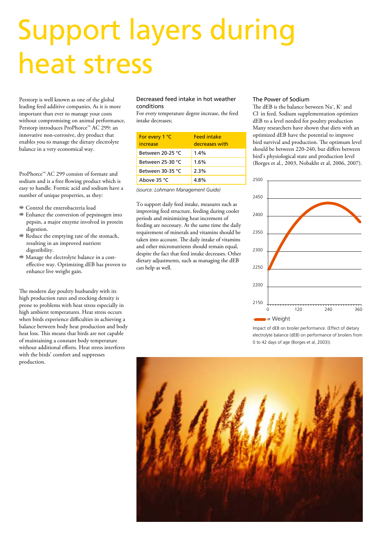## Support layers during heat stress

Perstorp is well known as one of the global leading feed additive companies. As it is more important than ever to manage your costs without compromising on animal performance, Perstorp introduces ProPhorce™ AC 299: an innovative non-corrosive, dry product that enables you to manage the dietary electrolyte balance in a very economical way.

ProPhorce™ AC 299 consists of formate and sodium and is a free flowing product which is easy to handle. Formic acid and sodium have a number of unique properties, as they:

- Control the enterobacteria load
- Enhance the conversion of pepsinogen into pepsin, a major enzyme involved in protein digestion.
- $\Rightarrow$  Reduce the emptying rate of the stomach, resulting in an improved nutrient digestibility.
- Manage the electrolyte balance in a costeffective way. Optimizing dEB has proven to enhance live weight gain.

The modern day poultry husbandry with its high production rates and stocking density is prone to problems with heat stress especially in high ambient temperatures. Heat stress occurs when birds experience difficulties in achieving a balance between body heat production and body heat loss. This means that birds are not capable of maintaining a constant body temperature without additional efforts. Heat stress interferes with the birds' comfort and suppresses production.

### Decreased feed intake in hot weather conditions

For every temperature degree increase, the feed intake decreases;

| For every 1 °C<br>increase | <b>Feed intake</b><br>decreases with |
|----------------------------|--------------------------------------|
| Between 20-25 °C           | $1.4\%$                              |
| Between 25-30 $°C$         | 1.6%                                 |
| Between 30-35 °C           | 2.3%                                 |
| Above 35 °C                | 4.8%                                 |

*(source: Lohmann Management Guide)*

To support daily feed intake, measures such as improving feed structure, feeding during cooler periods and minimizing heat increment of feeding are necessary. At the same time the daily requirement of minerals and vitamins should be taken into account. The daily intake of vitamins and other micronutrients should remain equal, despite the fact that feed intake decreases. Other dietary adjustments, such as managing the dEB can help as well.

#### The Power of Sodium

The dEB is the balance between Na<sup>+</sup>, K<sup>+</sup> and Cl- in feed. Sodium supplementation optimizes dEB to a level needed for poultry production Many researchers have shown that diets with an optimized dEB have the potential to improve bird survival and production. The optimum level should be between 220-240, but differs between bird's physiological state and production level (Borges et al., 2003, Nobakht et al, 2006, 2007).



Impact of dEB on broiler performance. (Effect of dietary electrolyte balance (dEB) on performance of broilers from 0 to 42 days of age (Borges et al, 2003)).

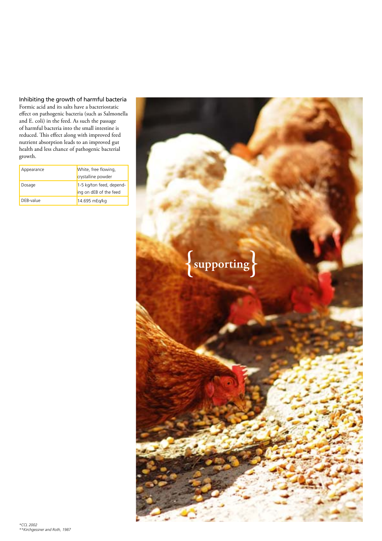Inhibiting the growth of harmful bacteria

Formic acid and its salts have a bacteriostatic effect on pathogenic bacteria (such as Salmonella and E. coli) in the feed. As such the passage of harmful bacteria into the small intestine is reduced. This effect along with improved feed nutrient absorption leads to an improved gut health and less chance of pathogenic bacterial growth.

| Appearance | White, free flowing,<br>crystalline powder         |
|------------|----------------------------------------------------|
| Dosage     | 1-5 kg/ton feed, depend-<br>ing on dEB of the feed |
| DEB-value  | 14.695 mEg/kg                                      |